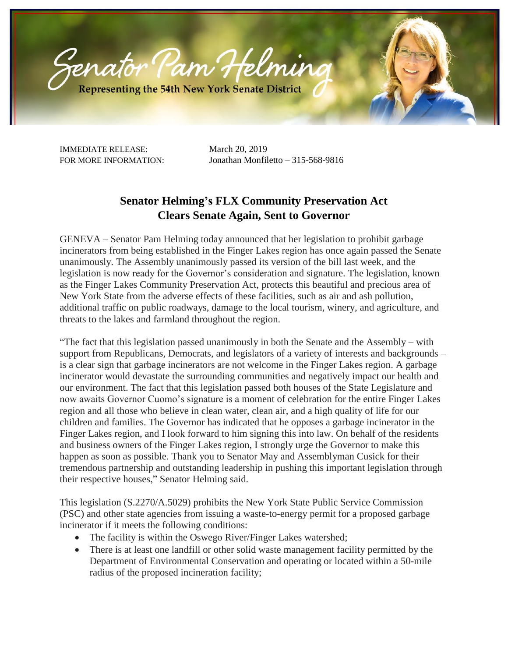

IMMEDIATE RELEASE: March 20, 2019

FOR MORE INFORMATION: Jonathan Monfiletto – 315-568-9816

## **Senator Helming's FLX Community Preservation Act Clears Senate Again, Sent to Governor**

GENEVA – Senator Pam Helming today announced that her legislation to prohibit garbage incinerators from being established in the Finger Lakes region has once again passed the Senate unanimously. The Assembly unanimously passed its version of the bill last week, and the legislation is now ready for the Governor's consideration and signature. The legislation, known as the Finger Lakes Community Preservation Act, protects this beautiful and precious area of New York State from the adverse effects of these facilities, such as air and ash pollution, additional traffic on public roadways, damage to the local tourism, winery, and agriculture, and threats to the lakes and farmland throughout the region.

"The fact that this legislation passed unanimously in both the Senate and the Assembly – with support from Republicans, Democrats, and legislators of a variety of interests and backgrounds – is a clear sign that garbage incinerators are not welcome in the Finger Lakes region. A garbage incinerator would devastate the surrounding communities and negatively impact our health and our environment. The fact that this legislation passed both houses of the State Legislature and now awaits Governor Cuomo's signature is a moment of celebration for the entire Finger Lakes region and all those who believe in clean water, clean air, and a high quality of life for our children and families. The Governor has indicated that he opposes a garbage incinerator in the Finger Lakes region, and I look forward to him signing this into law. On behalf of the residents and business owners of the Finger Lakes region, I strongly urge the Governor to make this happen as soon as possible. Thank you to Senator May and Assemblyman Cusick for their tremendous partnership and outstanding leadership in pushing this important legislation through their respective houses," Senator Helming said.

This legislation (S.2270/A.5029) prohibits the New York State Public Service Commission (PSC) and other state agencies from issuing a waste-to-energy permit for a proposed garbage incinerator if it meets the following conditions:

- The facility is within the Oswego River/Finger Lakes watershed;
- There is at least one landfill or other solid waste management facility permitted by the Department of Environmental Conservation and operating or located within a 50-mile radius of the proposed incineration facility;